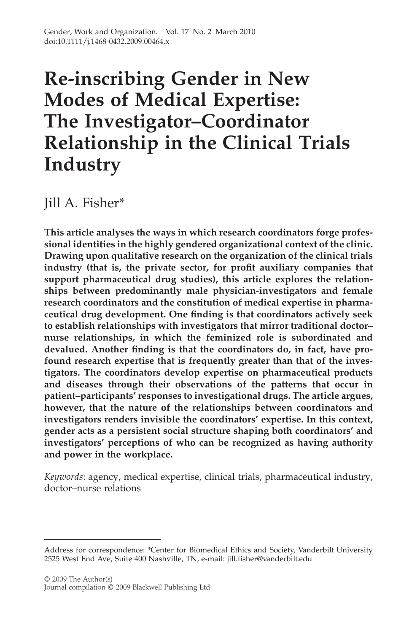# **Re-inscribing Gender in New Modes of Medical Expertise: The Investigator–Coordinator Relationship in the Clinical Trials Industry**

Jill A. Fisher\*

**This article analyses the ways in which research coordinators forge professional identities in the highly gendered organizational context of the clinic. Drawing upon qualitative research on the organization of the clinical trials industry (that is, the private sector, for profit auxiliary companies that support pharmaceutical drug studies), this article explores the relationships between predominantly male physician-investigators and female research coordinators and the constitution of medical expertise in pharmaceutical drug development. One finding is that coordinators actively seek to establish relationships with investigators that mirror traditional doctor– nurse relationships, in which the feminized role is subordinated and devalued. Another finding is that the coordinators do, in fact, have profound research expertise that is frequently greater than that of the investigators. The coordinators develop expertise on pharmaceutical products and diseases through their observations of the patterns that occur in patient–participants' responses to investigational drugs. The article argues, however, that the nature of the relationships between coordinators and investigators renders invisible the coordinators' expertise. In this context, gender acts as a persistent social structure shaping both coordinators' and investigators' perceptions of who can be recognized as having authority and power in the workplace.**

*Keywords*: agency, medical expertise, clinical trials, pharmaceutical industry, doctor–nurse relations

Address for correspondence: \*Center for Biomedical Ethics and Society, Vanderbilt University 2525 West End Ave, Suite 400 Nashville, TN, e-mail: jill.fisher@vanderbilt.edu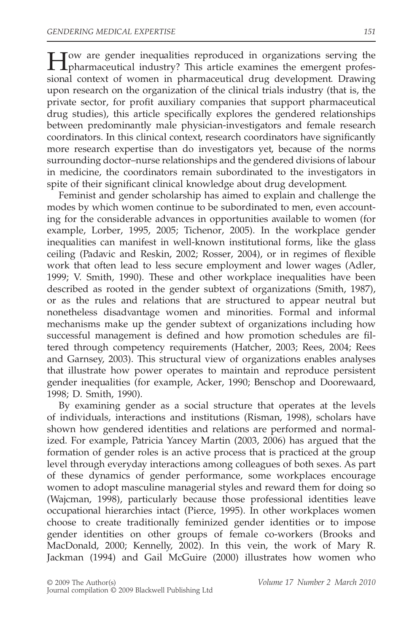How are gender inequalities reproduced in organizations serving the pharmaceutical industry? This article examines the emergent professional context of women in pharmaceutical drug development. Drawing upon research on the organization of the clinical trials industry (that is, the private sector, for profit auxiliary companies that support pharmaceutical drug studies), this article specifically explores the gendered relationships between predominantly male physician-investigators and female research coordinators. In this clinical context, research coordinators have significantly more research expertise than do investigators yet, because of the norms surrounding doctor–nurse relationships and the gendered divisions of labour in medicine, the coordinators remain subordinated to the investigators in spite of their significant clinical knowledge about drug development.

Feminist and gender scholarship has aimed to explain and challenge the modes by which women continue to be subordinated to men, even accounting for the considerable advances in opportunities available to women (for example, Lorber, 1995, 2005; Tichenor, 2005). In the workplace gender inequalities can manifest in well-known institutional forms, like the glass ceiling (Padavic and Reskin, 2002; Rosser, 2004), or in regimes of flexible work that often lead to less secure employment and lower wages (Adler, 1999; V. Smith, 1990). These and other workplace inequalities have been described as rooted in the gender subtext of organizations (Smith, 1987), or as the rules and relations that are structured to appear neutral but nonetheless disadvantage women and minorities. Formal and informal mechanisms make up the gender subtext of organizations including how successful management is defined and how promotion schedules are filtered through competency requirements (Hatcher, 2003; Rees, 2004; Rees and Garnsey, 2003). This structural view of organizations enables analyses that illustrate how power operates to maintain and reproduce persistent gender inequalities (for example, Acker, 1990; Benschop and Doorewaard, 1998; D. Smith, 1990).

By examining gender as a social structure that operates at the levels of individuals, interactions and institutions (Risman, 1998), scholars have shown how gendered identities and relations are performed and normalized. For example, Patricia Yancey Martin (2003, 2006) has argued that the formation of gender roles is an active process that is practiced at the group level through everyday interactions among colleagues of both sexes. As part of these dynamics of gender performance, some workplaces encourage women to adopt masculine managerial styles and reward them for doing so (Wajcman, 1998), particularly because those professional identities leave occupational hierarchies intact (Pierce, 1995). In other workplaces women choose to create traditionally feminized gender identities or to impose gender identities on other groups of female co-workers (Brooks and MacDonald, 2000; Kennelly, 2002). In this vein, the work of Mary R. Jackman (1994) and Gail McGuire (2000) illustrates how women who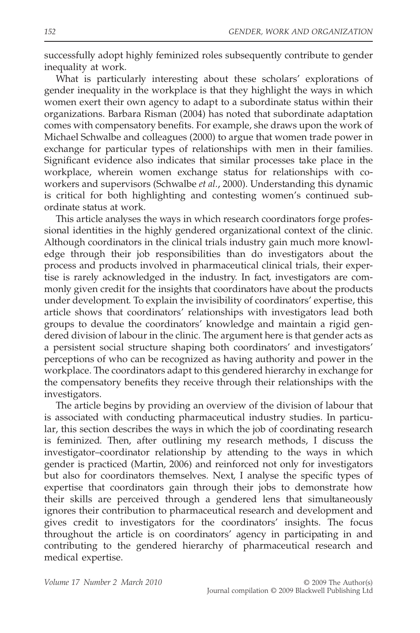successfully adopt highly feminized roles subsequently contribute to gender inequality at work.

What is particularly interesting about these scholars' explorations of gender inequality in the workplace is that they highlight the ways in which women exert their own agency to adapt to a subordinate status within their organizations. Barbara Risman (2004) has noted that subordinate adaptation comes with compensatory benefits. For example, she draws upon the work of Michael Schwalbe and colleagues (2000) to argue that women trade power in exchange for particular types of relationships with men in their families. Significant evidence also indicates that similar processes take place in the workplace, wherein women exchange status for relationships with coworkers and supervisors (Schwalbe *et al.*, 2000). Understanding this dynamic is critical for both highlighting and contesting women's continued subordinate status at work.

This article analyses the ways in which research coordinators forge professional identities in the highly gendered organizational context of the clinic. Although coordinators in the clinical trials industry gain much more knowledge through their job responsibilities than do investigators about the process and products involved in pharmaceutical clinical trials, their expertise is rarely acknowledged in the industry. In fact, investigators are commonly given credit for the insights that coordinators have about the products under development. To explain the invisibility of coordinators' expertise, this article shows that coordinators' relationships with investigators lead both groups to devalue the coordinators' knowledge and maintain a rigid gendered division of labour in the clinic. The argument here is that gender acts as a persistent social structure shaping both coordinators' and investigators' perceptions of who can be recognized as having authority and power in the workplace. The coordinators adapt to this gendered hierarchy in exchange for the compensatory benefits they receive through their relationships with the investigators.

The article begins by providing an overview of the division of labour that is associated with conducting pharmaceutical industry studies. In particular, this section describes the ways in which the job of coordinating research is feminized. Then, after outlining my research methods, I discuss the investigator–coordinator relationship by attending to the ways in which gender is practiced (Martin, 2006) and reinforced not only for investigators but also for coordinators themselves. Next, I analyse the specific types of expertise that coordinators gain through their jobs to demonstrate how their skills are perceived through a gendered lens that simultaneously ignores their contribution to pharmaceutical research and development and gives credit to investigators for the coordinators' insights. The focus throughout the article is on coordinators' agency in participating in and contributing to the gendered hierarchy of pharmaceutical research and medical expertise.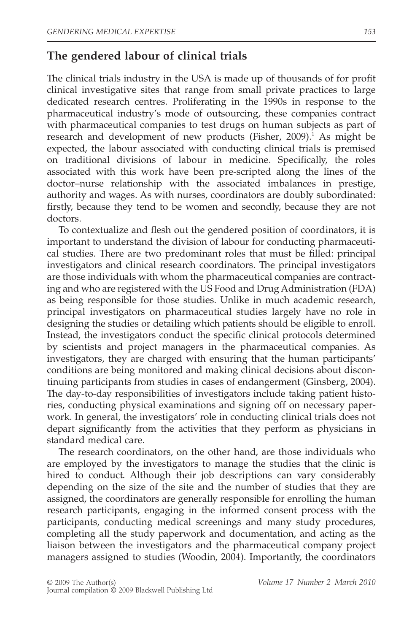# **The gendered labour of clinical trials**

The clinical trials industry in the USA is made up of thousands of for profit clinical investigative sites that range from small private practices to large dedicated research centres. Proliferating in the 1990s in response to the pharmaceutical industry's mode of outsourcing, these companies contract with pharmaceutical companies to test drugs on human subjects as part of research and development of new products (Fisher, 2009).<sup>1</sup> As might be expected, the labour associated with conducting clinical trials is premised on traditional divisions of labour in medicine. Specifically, the roles associated with this work have been pre-scripted along the lines of the doctor–nurse relationship with the associated imbalances in prestige, authority and wages. As with nurses, coordinators are doubly subordinated: firstly, because they tend to be women and secondly, because they are not doctors.

To contextualize and flesh out the gendered position of coordinators, it is important to understand the division of labour for conducting pharmaceutical studies. There are two predominant roles that must be filled: principal investigators and clinical research coordinators. The principal investigators are those individuals with whom the pharmaceutical companies are contracting and who are registered with the US Food and Drug Administration (FDA) as being responsible for those studies. Unlike in much academic research, principal investigators on pharmaceutical studies largely have no role in designing the studies or detailing which patients should be eligible to enroll. Instead, the investigators conduct the specific clinical protocols determined by scientists and project managers in the pharmaceutical companies. As investigators, they are charged with ensuring that the human participants' conditions are being monitored and making clinical decisions about discontinuing participants from studies in cases of endangerment (Ginsberg, 2004). The day-to-day responsibilities of investigators include taking patient histories, conducting physical examinations and signing off on necessary paperwork. In general, the investigators' role in conducting clinical trials does not depart significantly from the activities that they perform as physicians in standard medical care.

The research coordinators, on the other hand, are those individuals who are employed by the investigators to manage the studies that the clinic is hired to conduct. Although their job descriptions can vary considerably depending on the size of the site and the number of studies that they are assigned, the coordinators are generally responsible for enrolling the human research participants, engaging in the informed consent process with the participants, conducting medical screenings and many study procedures, completing all the study paperwork and documentation, and acting as the liaison between the investigators and the pharmaceutical company project managers assigned to studies (Woodin, 2004). Importantly, the coordinators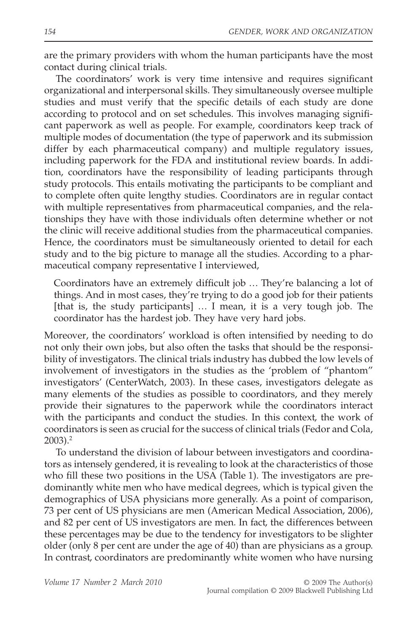are the primary providers with whom the human participants have the most contact during clinical trials.

The coordinators' work is very time intensive and requires significant organizational and interpersonal skills. They simultaneously oversee multiple studies and must verify that the specific details of each study are done according to protocol and on set schedules. This involves managing significant paperwork as well as people. For example, coordinators keep track of multiple modes of documentation (the type of paperwork and its submission differ by each pharmaceutical company) and multiple regulatory issues, including paperwork for the FDA and institutional review boards. In addition, coordinators have the responsibility of leading participants through study protocols. This entails motivating the participants to be compliant and to complete often quite lengthy studies. Coordinators are in regular contact with multiple representatives from pharmaceutical companies, and the relationships they have with those individuals often determine whether or not the clinic will receive additional studies from the pharmaceutical companies. Hence, the coordinators must be simultaneously oriented to detail for each study and to the big picture to manage all the studies. According to a pharmaceutical company representative I interviewed,

Coordinators have an extremely difficult job ... They're balancing a lot of things. And in most cases, they're trying to do a good job for their patients [that is, the study participants] ... I mean, it is a very tough job. The coordinator has the hardest job. They have very hard jobs.

Moreover, the coordinators' workload is often intensified by needing to do not only their own jobs, but also often the tasks that should be the responsibility of investigators. The clinical trials industry has dubbed the low levels of involvement of investigators in the studies as the 'problem of "phantom" investigators' (CenterWatch, 2003). In these cases, investigators delegate as many elements of the studies as possible to coordinators, and they merely provide their signatures to the paperwork while the coordinators interact with the participants and conduct the studies. In this context, the work of coordinators is seen as crucial for the success of clinical trials (Fedor and Cola,  $2003$ ).<sup>2</sup>

To understand the division of labour between investigators and coordinators as intensely gendered, it is revealing to look at the characteristics of those who fill these two positions in the USA (Table 1). The investigators are predominantly white men who have medical degrees, which is typical given the demographics of USA physicians more generally. As a point of comparison, 73 per cent of US physicians are men (American Medical Association, 2006), and 82 per cent of US investigators are men. In fact, the differences between these percentages may be due to the tendency for investigators to be slighter older (only 8 per cent are under the age of 40) than are physicians as a group. In contrast, coordinators are predominantly white women who have nursing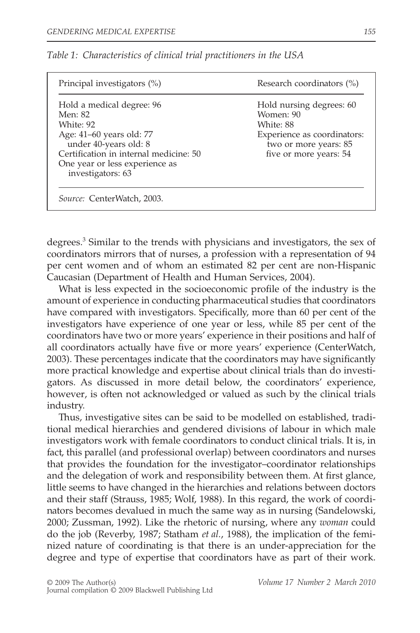| Principal investigators (%)                                                                                                                                                                             | Research coordinators (%)                                                                                                            |
|---------------------------------------------------------------------------------------------------------------------------------------------------------------------------------------------------------|--------------------------------------------------------------------------------------------------------------------------------------|
| Hold a medical degree: 96<br>Men: 82<br>White: 92<br>Age: 41–60 years old: 77<br>under 40-years old: 8<br>Certification in internal medicine: 50<br>One year or less experience as<br>investigators: 63 | Hold nursing degrees: 60<br>Women: 90<br>White: 88<br>Experience as coordinators:<br>two or more years: 85<br>five or more years: 54 |
| Source: CenterWatch, 2003.                                                                                                                                                                              |                                                                                                                                      |

*Table 1: Characteristics of clinical trial practitioners in the USA*

degrees.3 Similar to the trends with physicians and investigators, the sex of coordinators mirrors that of nurses, a profession with a representation of 94 per cent women and of whom an estimated 82 per cent are non-Hispanic Caucasian (Department of Health and Human Services, 2004).

What is less expected in the socioeconomic profile of the industry is the amount of experience in conducting pharmaceutical studies that coordinators have compared with investigators. Specifically, more than 60 per cent of the investigators have experience of one year or less, while 85 per cent of the coordinators have two or more years' experience in their positions and half of all coordinators actually have five or more years' experience (CenterWatch, 2003). These percentages indicate that the coordinators may have significantly more practical knowledge and expertise about clinical trials than do investigators. As discussed in more detail below, the coordinators' experience, however, is often not acknowledged or valued as such by the clinical trials industry.

Thus, investigative sites can be said to be modelled on established, traditional medical hierarchies and gendered divisions of labour in which male investigators work with female coordinators to conduct clinical trials. It is, in fact, this parallel (and professional overlap) between coordinators and nurses that provides the foundation for the investigator–coordinator relationships and the delegation of work and responsibility between them. At first glance, little seems to have changed in the hierarchies and relations between doctors and their staff (Strauss, 1985; Wolf, 1988). In this regard, the work of coordinators becomes devalued in much the same way as in nursing (Sandelowski, 2000; Zussman, 1992). Like the rhetoric of nursing, where any *woman* could do the job (Reverby, 1987; Statham *et al.*, 1988), the implication of the feminized nature of coordinating is that there is an under-appreciation for the degree and type of expertise that coordinators have as part of their work.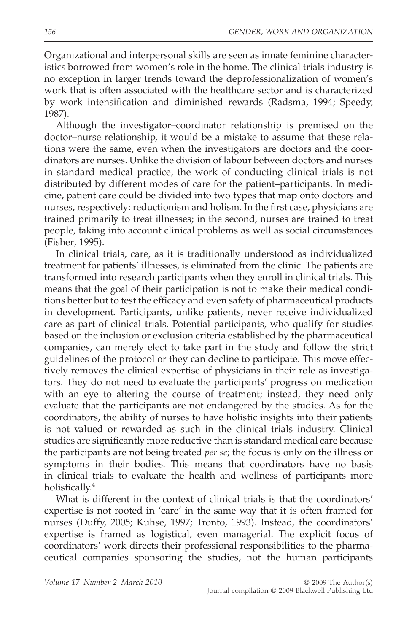Organizational and interpersonal skills are seen as innate feminine characteristics borrowed from women's role in the home. The clinical trials industry is no exception in larger trends toward the deprofessionalization of women's work that is often associated with the healthcare sector and is characterized by work intensification and diminished rewards (Radsma, 1994; Speedy, 1987).

Although the investigator–coordinator relationship is premised on the doctor–nurse relationship, it would be a mistake to assume that these relations were the same, even when the investigators are doctors and the coordinators are nurses. Unlike the division of labour between doctors and nurses in standard medical practice, the work of conducting clinical trials is not distributed by different modes of care for the patient–participants. In medicine, patient care could be divided into two types that map onto doctors and nurses, respectively: reductionism and holism. In the first case, physicians are trained primarily to treat illnesses; in the second, nurses are trained to treat people, taking into account clinical problems as well as social circumstances (Fisher, 1995).

In clinical trials, care, as it is traditionally understood as individualized treatment for patients' illnesses, is eliminated from the clinic. The patients are transformed into research participants when they enroll in clinical trials. This means that the goal of their participation is not to make their medical conditions better but to test the efficacy and even safety of pharmaceutical products in development. Participants, unlike patients, never receive individualized care as part of clinical trials. Potential participants, who qualify for studies based on the inclusion or exclusion criteria established by the pharmaceutical companies, can merely elect to take part in the study and follow the strict guidelines of the protocol or they can decline to participate. This move effectively removes the clinical expertise of physicians in their role as investigators. They do not need to evaluate the participants' progress on medication with an eye to altering the course of treatment; instead, they need only evaluate that the participants are not endangered by the studies. As for the coordinators, the ability of nurses to have holistic insights into their patients is not valued or rewarded as such in the clinical trials industry. Clinical studies are significantly more reductive than is standard medical care because the participants are not being treated *per se*; the focus is only on the illness or symptoms in their bodies. This means that coordinators have no basis in clinical trials to evaluate the health and wellness of participants more holistically.4

What is different in the context of clinical trials is that the coordinators' expertise is not rooted in 'care' in the same way that it is often framed for nurses (Duffy, 2005; Kuhse, 1997; Tronto, 1993). Instead, the coordinators' expertise is framed as logistical, even managerial. The explicit focus of coordinators' work directs their professional responsibilities to the pharmaceutical companies sponsoring the studies, not the human participants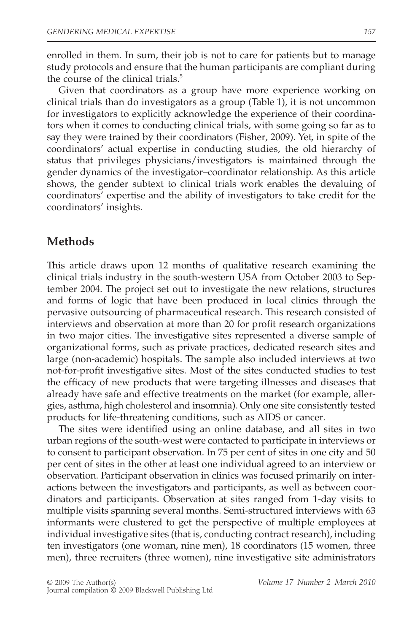enrolled in them. In sum, their job is not to care for patients but to manage study protocols and ensure that the human participants are compliant during the course of the clinical trials.<sup>5</sup>

Given that coordinators as a group have more experience working on clinical trials than do investigators as a group (Table 1), it is not uncommon for investigators to explicitly acknowledge the experience of their coordinators when it comes to conducting clinical trials, with some going so far as to say they were trained by their coordinators (Fisher, 2009). Yet, in spite of the coordinators' actual expertise in conducting studies, the old hierarchy of status that privileges physicians/investigators is maintained through the gender dynamics of the investigator–coordinator relationship. As this article shows, the gender subtext to clinical trials work enables the devaluing of coordinators' expertise and the ability of investigators to take credit for the coordinators' insights.

# **Methods**

This article draws upon 12 months of qualitative research examining the clinical trials industry in the south-western USA from October 2003 to September 2004. The project set out to investigate the new relations, structures and forms of logic that have been produced in local clinics through the pervasive outsourcing of pharmaceutical research. This research consisted of interviews and observation at more than 20 for profit research organizations in two major cities. The investigative sites represented a diverse sample of organizational forms, such as private practices, dedicated research sites and large (non-academic) hospitals. The sample also included interviews at two not-for-profit investigative sites. Most of the sites conducted studies to test the efficacy of new products that were targeting illnesses and diseases that already have safe and effective treatments on the market (for example, allergies, asthma, high cholesterol and insomnia). Only one site consistently tested products for life-threatening conditions, such as AIDS or cancer.

The sites were identified using an online database, and all sites in two urban regions of the south-west were contacted to participate in interviews or to consent to participant observation. In 75 per cent of sites in one city and 50 per cent of sites in the other at least one individual agreed to an interview or observation. Participant observation in clinics was focused primarily on interactions between the investigators and participants, as well as between coordinators and participants. Observation at sites ranged from 1-day visits to multiple visits spanning several months. Semi-structured interviews with 63 informants were clustered to get the perspective of multiple employees at individual investigative sites (that is, conducting contract research), including ten investigators (one woman, nine men), 18 coordinators (15 women, three men), three recruiters (three women), nine investigative site administrators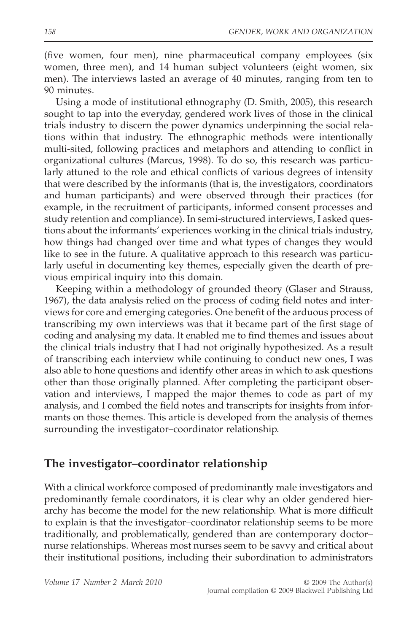(five women, four men), nine pharmaceutical company employees (six women, three men), and 14 human subject volunteers (eight women, six men). The interviews lasted an average of 40 minutes, ranging from ten to 90 minutes.

Using a mode of institutional ethnography (D. Smith, 2005), this research sought to tap into the everyday, gendered work lives of those in the clinical trials industry to discern the power dynamics underpinning the social relations within that industry. The ethnographic methods were intentionally multi-sited, following practices and metaphors and attending to conflict in organizational cultures (Marcus, 1998). To do so, this research was particularly attuned to the role and ethical conflicts of various degrees of intensity that were described by the informants (that is, the investigators, coordinators and human participants) and were observed through their practices (for example, in the recruitment of participants, informed consent processes and study retention and compliance). In semi-structured interviews, I asked questions about the informants' experiences working in the clinical trials industry, how things had changed over time and what types of changes they would like to see in the future. A qualitative approach to this research was particularly useful in documenting key themes, especially given the dearth of previous empirical inquiry into this domain.

Keeping within a methodology of grounded theory (Glaser and Strauss, 1967), the data analysis relied on the process of coding field notes and interviews for core and emerging categories. One benefit of the arduous process of transcribing my own interviews was that it became part of the first stage of coding and analysing my data. It enabled me to find themes and issues about the clinical trials industry that I had not originally hypothesized. As a result of transcribing each interview while continuing to conduct new ones, I was also able to hone questions and identify other areas in which to ask questions other than those originally planned. After completing the participant observation and interviews, I mapped the major themes to code as part of my analysis, and I combed the field notes and transcripts for insights from informants on those themes. This article is developed from the analysis of themes surrounding the investigator–coordinator relationship.

# **The investigator–coordinator relationship**

With a clinical workforce composed of predominantly male investigators and predominantly female coordinators, it is clear why an older gendered hierarchy has become the model for the new relationship. What is more difficult to explain is that the investigator–coordinator relationship seems to be more traditionally, and problematically, gendered than are contemporary doctor– nurse relationships. Whereas most nurses seem to be savvy and critical about their institutional positions, including their subordination to administrators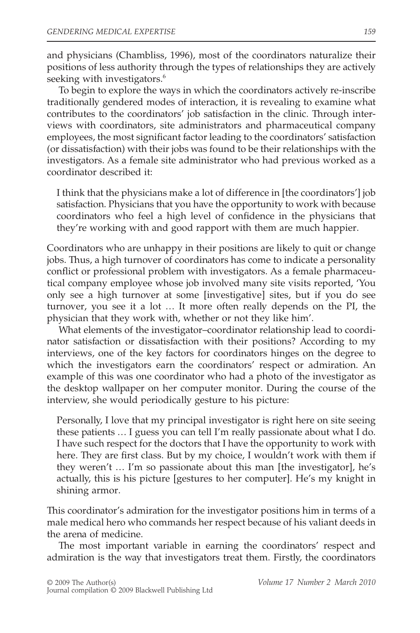and physicians (Chambliss, 1996), most of the coordinators naturalize their positions of less authority through the types of relationships they are actively seeking with investigators.<sup>6</sup>

To begin to explore the ways in which the coordinators actively re-inscribe traditionally gendered modes of interaction, it is revealing to examine what contributes to the coordinators' job satisfaction in the clinic. Through interviews with coordinators, site administrators and pharmaceutical company employees, the most significant factor leading to the coordinators' satisfaction (or dissatisfaction) with their jobs was found to be their relationships with the investigators. As a female site administrator who had previous worked as a coordinator described it:

I think that the physicians make a lot of difference in [the coordinators'] job satisfaction. Physicians that you have the opportunity to work with because coordinators who feel a high level of confidence in the physicians that they're working with and good rapport with them are much happier.

Coordinators who are unhappy in their positions are likely to quit or change jobs. Thus, a high turnover of coordinators has come to indicate a personality conflict or professional problem with investigators. As a female pharmaceutical company employee whose job involved many site visits reported, 'You only see a high turnover at some [investigative] sites, but if you do see turnover, you see it a lot ... It more often really depends on the PI, the physician that they work with, whether or not they like him'.

What elements of the investigator–coordinator relationship lead to coordinator satisfaction or dissatisfaction with their positions? According to my interviews, one of the key factors for coordinators hinges on the degree to which the investigators earn the coordinators' respect or admiration. An example of this was one coordinator who had a photo of the investigator as the desktop wallpaper on her computer monitor. During the course of the interview, she would periodically gesture to his picture:

Personally, I love that my principal investigator is right here on site seeing these patients ... I guess you can tell I'm really passionate about what I do. I have such respect for the doctors that I have the opportunity to work with here. They are first class. But by my choice, I wouldn't work with them if they weren't ... I'm so passionate about this man [the investigator], he's actually, this is his picture [gestures to her computer]. He's my knight in shining armor.

This coordinator's admiration for the investigator positions him in terms of a male medical hero who commands her respect because of his valiant deeds in the arena of medicine.

The most important variable in earning the coordinators' respect and admiration is the way that investigators treat them. Firstly, the coordinators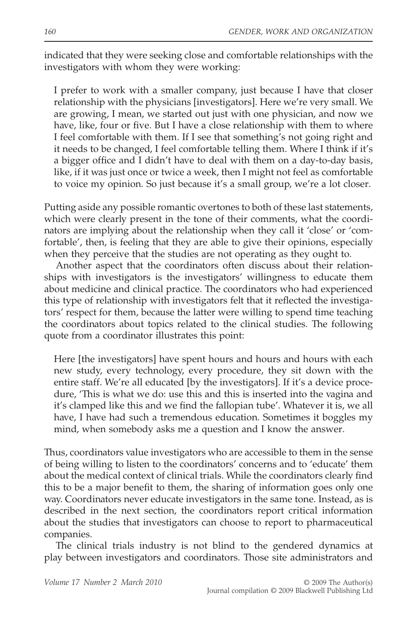indicated that they were seeking close and comfortable relationships with the investigators with whom they were working:

I prefer to work with a smaller company, just because I have that closer relationship with the physicians [investigators]. Here we're very small. We are growing, I mean, we started out just with one physician, and now we have, like, four or five. But I have a close relationship with them to where I feel comfortable with them. If I see that something's not going right and it needs to be changed, I feel comfortable telling them. Where I think if it's a bigger office and I didn't have to deal with them on a day-to-day basis, like, if it was just once or twice a week, then I might not feel as comfortable to voice my opinion. So just because it's a small group, we're a lot closer.

Putting aside any possible romantic overtones to both of these last statements, which were clearly present in the tone of their comments, what the coordinators are implying about the relationship when they call it 'close' or 'comfortable', then, is feeling that they are able to give their opinions, especially when they perceive that the studies are not operating as they ought to.

Another aspect that the coordinators often discuss about their relationships with investigators is the investigators' willingness to educate them about medicine and clinical practice. The coordinators who had experienced this type of relationship with investigators felt that it reflected the investigators' respect for them, because the latter were willing to spend time teaching the coordinators about topics related to the clinical studies. The following quote from a coordinator illustrates this point:

Here [the investigators] have spent hours and hours and hours with each new study, every technology, every procedure, they sit down with the entire staff. We're all educated [by the investigators]. If it's a device procedure, 'This is what we do: use this and this is inserted into the vagina and it's clamped like this and we find the fallopian tube'. Whatever it is, we all have, I have had such a tremendous education. Sometimes it boggles my mind, when somebody asks me a question and I know the answer.

Thus, coordinators value investigators who are accessible to them in the sense of being willing to listen to the coordinators' concerns and to 'educate' them about the medical context of clinical trials. While the coordinators clearly find this to be a major benefit to them, the sharing of information goes only one way. Coordinators never educate investigators in the same tone. Instead, as is described in the next section, the coordinators report critical information about the studies that investigators can choose to report to pharmaceutical companies.

The clinical trials industry is not blind to the gendered dynamics at play between investigators and coordinators. Those site administrators and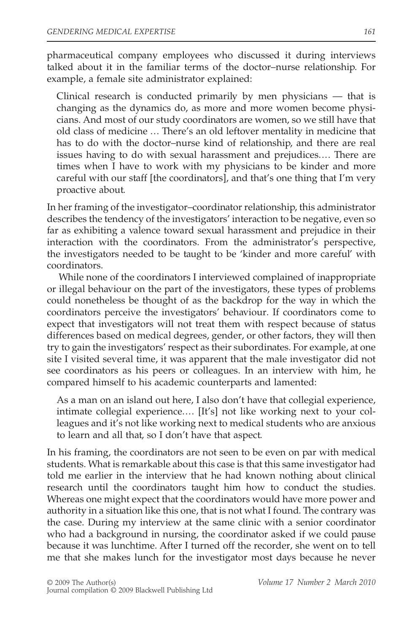pharmaceutical company employees who discussed it during interviews talked about it in the familiar terms of the doctor–nurse relationship. For example, a female site administrator explained:

Clinical research is conducted primarily by men physicians — that is changing as the dynamics do, as more and more women become physicians. And most of our study coordinators are women, so we still have that old class of medicine ... There's an old leftover mentality in medicine that has to do with the doctor–nurse kind of relationship, and there are real issues having to do with sexual harassment and prejudices.... There are times when I have to work with my physicians to be kinder and more careful with our staff [the coordinators], and that's one thing that I'm very proactive about.

In her framing of the investigator–coordinator relationship, this administrator describes the tendency of the investigators' interaction to be negative, even so far as exhibiting a valence toward sexual harassment and prejudice in their interaction with the coordinators. From the administrator's perspective, the investigators needed to be taught to be 'kinder and more careful' with coordinators.

While none of the coordinators I interviewed complained of inappropriate or illegal behaviour on the part of the investigators, these types of problems could nonetheless be thought of as the backdrop for the way in which the coordinators perceive the investigators' behaviour. If coordinators come to expect that investigators will not treat them with respect because of status differences based on medical degrees, gender, or other factors, they will then try to gain the investigators' respect as their subordinates. For example, at one site I visited several time, it was apparent that the male investigator did not see coordinators as his peers or colleagues. In an interview with him, he compared himself to his academic counterparts and lamented:

As a man on an island out here, I also don't have that collegial experience, intimate collegial experience.... [It's] not like working next to your colleagues and it's not like working next to medical students who are anxious to learn and all that, so I don't have that aspect.

In his framing, the coordinators are not seen to be even on par with medical students. What is remarkable about this case is that this same investigator had told me earlier in the interview that he had known nothing about clinical research until the coordinators taught him how to conduct the studies. Whereas one might expect that the coordinators would have more power and authority in a situation like this one, that is not what I found. The contrary was the case. During my interview at the same clinic with a senior coordinator who had a background in nursing, the coordinator asked if we could pause because it was lunchtime. After I turned off the recorder, she went on to tell me that she makes lunch for the investigator most days because he never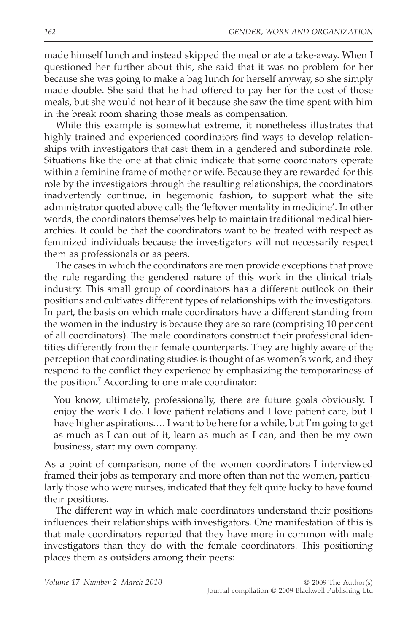made himself lunch and instead skipped the meal or ate a take-away. When I questioned her further about this, she said that it was no problem for her because she was going to make a bag lunch for herself anyway, so she simply made double. She said that he had offered to pay her for the cost of those meals, but she would not hear of it because she saw the time spent with him in the break room sharing those meals as compensation.

While this example is somewhat extreme, it nonetheless illustrates that highly trained and experienced coordinators find ways to develop relationships with investigators that cast them in a gendered and subordinate role. Situations like the one at that clinic indicate that some coordinators operate within a feminine frame of mother or wife. Because they are rewarded for this role by the investigators through the resulting relationships, the coordinators inadvertently continue, in hegemonic fashion, to support what the site administrator quoted above calls the 'leftover mentality in medicine'. In other words, the coordinators themselves help to maintain traditional medical hierarchies. It could be that the coordinators want to be treated with respect as feminized individuals because the investigators will not necessarily respect them as professionals or as peers.

The cases in which the coordinators are men provide exceptions that prove the rule regarding the gendered nature of this work in the clinical trials industry. This small group of coordinators has a different outlook on their positions and cultivates different types of relationships with the investigators. In part, the basis on which male coordinators have a different standing from the women in the industry is because they are so rare (comprising 10 per cent of all coordinators). The male coordinators construct their professional identities differently from their female counterparts. They are highly aware of the perception that coordinating studies is thought of as women's work, and they respond to the conflict they experience by emphasizing the temporariness of the position.<sup>7</sup> According to one male coordinator:

You know, ultimately, professionally, there are future goals obviously. I enjoy the work I do. I love patient relations and I love patient care, but I have higher aspirations.... I want to be here for a while, but I'm going to get as much as I can out of it, learn as much as I can, and then be my own business, start my own company.

As a point of comparison, none of the women coordinators I interviewed framed their jobs as temporary and more often than not the women, particularly those who were nurses, indicated that they felt quite lucky to have found their positions.

The different way in which male coordinators understand their positions influences their relationships with investigators. One manifestation of this is that male coordinators reported that they have more in common with male investigators than they do with the female coordinators. This positioning places them as outsiders among their peers: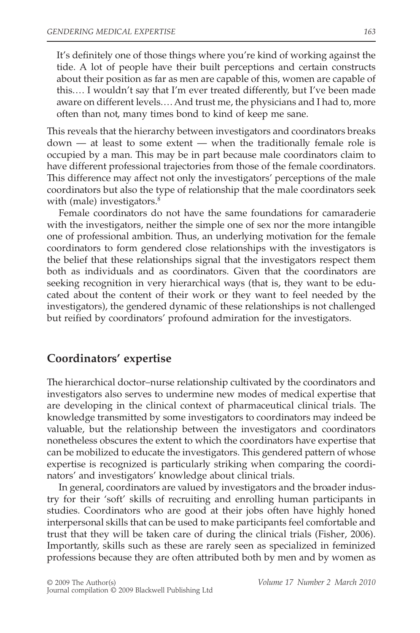It's definitely one of those things where you're kind of working against the tide. A lot of people have their built perceptions and certain constructs about their position as far as men are capable of this, women are capable of this.... I wouldn't say that I'm ever treated differently, but I've been made aware on different levels.... And trust me, the physicians and I had to, more often than not, many times bond to kind of keep me sane.

This reveals that the hierarchy between investigators and coordinators breaks down — at least to some extent — when the traditionally female role is occupied by a man. This may be in part because male coordinators claim to have different professional trajectories from those of the female coordinators. This difference may affect not only the investigators' perceptions of the male coordinators but also the type of relationship that the male coordinators seek with (male) investigators.<sup>8</sup>

Female coordinators do not have the same foundations for camaraderie with the investigators, neither the simple one of sex nor the more intangible one of professional ambition. Thus, an underlying motivation for the female coordinators to form gendered close relationships with the investigators is the belief that these relationships signal that the investigators respect them both as individuals and as coordinators. Given that the coordinators are seeking recognition in very hierarchical ways (that is, they want to be educated about the content of their work or they want to feel needed by the investigators), the gendered dynamic of these relationships is not challenged but reified by coordinators' profound admiration for the investigators.

#### **Coordinators' expertise**

The hierarchical doctor–nurse relationship cultivated by the coordinators and investigators also serves to undermine new modes of medical expertise that are developing in the clinical context of pharmaceutical clinical trials. The knowledge transmitted by some investigators to coordinators may indeed be valuable, but the relationship between the investigators and coordinators nonetheless obscures the extent to which the coordinators have expertise that can be mobilized to educate the investigators. This gendered pattern of whose expertise is recognized is particularly striking when comparing the coordinators' and investigators' knowledge about clinical trials.

In general, coordinators are valued by investigators and the broader industry for their 'soft' skills of recruiting and enrolling human participants in studies. Coordinators who are good at their jobs often have highly honed interpersonal skills that can be used to make participants feel comfortable and trust that they will be taken care of during the clinical trials (Fisher, 2006). Importantly, skills such as these are rarely seen as specialized in feminized professions because they are often attributed both by men and by women as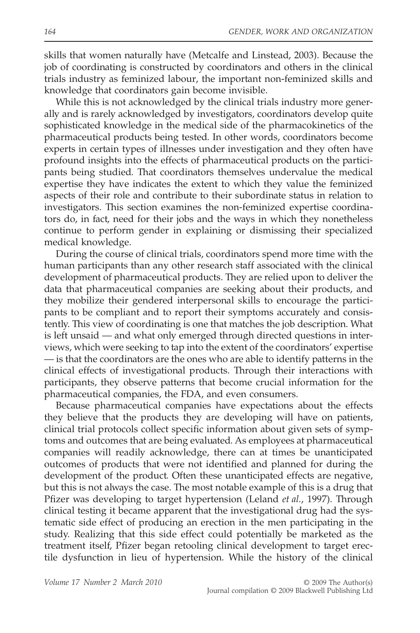skills that women naturally have (Metcalfe and Linstead, 2003). Because the job of coordinating is constructed by coordinators and others in the clinical trials industry as feminized labour, the important non-feminized skills and knowledge that coordinators gain become invisible.

While this is not acknowledged by the clinical trials industry more generally and is rarely acknowledged by investigators, coordinators develop quite sophisticated knowledge in the medical side of the pharmacokinetics of the pharmaceutical products being tested. In other words, coordinators become experts in certain types of illnesses under investigation and they often have profound insights into the effects of pharmaceutical products on the participants being studied. That coordinators themselves undervalue the medical expertise they have indicates the extent to which they value the feminized aspects of their role and contribute to their subordinate status in relation to investigators. This section examines the non-feminized expertise coordinators do, in fact, need for their jobs and the ways in which they nonetheless continue to perform gender in explaining or dismissing their specialized medical knowledge.

During the course of clinical trials, coordinators spend more time with the human participants than any other research staff associated with the clinical development of pharmaceutical products. They are relied upon to deliver the data that pharmaceutical companies are seeking about their products, and they mobilize their gendered interpersonal skills to encourage the participants to be compliant and to report their symptoms accurately and consistently. This view of coordinating is one that matches the job description. What is left unsaid — and what only emerged through directed questions in interviews, which were seeking to tap into the extent of the coordinators' expertise — is that the coordinators are the ones who are able to identify patterns in the clinical effects of investigational products. Through their interactions with participants, they observe patterns that become crucial information for the pharmaceutical companies, the FDA, and even consumers.

Because pharmaceutical companies have expectations about the effects they believe that the products they are developing will have on patients, clinical trial protocols collect specific information about given sets of symptoms and outcomes that are being evaluated. As employees at pharmaceutical companies will readily acknowledge, there can at times be unanticipated outcomes of products that were not identified and planned for during the development of the product. Often these unanticipated effects are negative, but this is not always the case. The most notable example of this is a drug that Pfizer was developing to target hypertension (Leland *et al.*, 1997). Through clinical testing it became apparent that the investigational drug had the systematic side effect of producing an erection in the men participating in the study. Realizing that this side effect could potentially be marketed as the treatment itself, Pfizer began retooling clinical development to target erectile dysfunction in lieu of hypertension. While the history of the clinical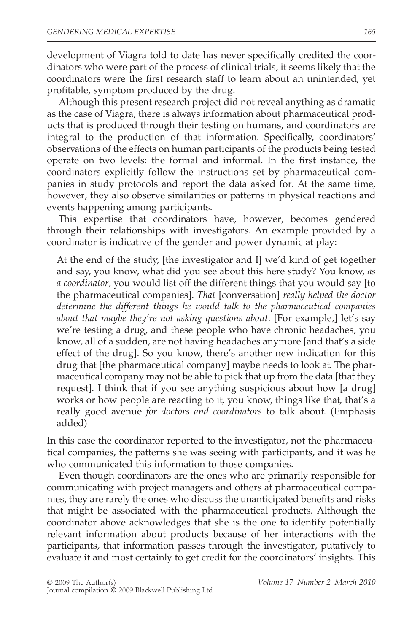development of Viagra told to date has never specifically credited the coordinators who were part of the process of clinical trials, it seems likely that the coordinators were the first research staff to learn about an unintended, yet profitable, symptom produced by the drug.

Although this present research project did not reveal anything as dramatic as the case of Viagra, there is always information about pharmaceutical products that is produced through their testing on humans, and coordinators are integral to the production of that information. Specifically, coordinators' observations of the effects on human participants of the products being tested operate on two levels: the formal and informal. In the first instance, the coordinators explicitly follow the instructions set by pharmaceutical companies in study protocols and report the data asked for. At the same time, however, they also observe similarities or patterns in physical reactions and events happening among participants.

This expertise that coordinators have, however, becomes gendered through their relationships with investigators. An example provided by a coordinator is indicative of the gender and power dynamic at play:

At the end of the study, [the investigator and I] we'd kind of get together and say, you know, what did you see about this here study? You know, *as a coordinator*, you would list off the different things that you would say [to the pharmaceutical companies]. *That* [conversation] *really helped the doctor determine the different things he would talk to the pharmaceutical companies about that maybe they're not asking questions about*. [For example,] let's say we're testing a drug, and these people who have chronic headaches, you know, all of a sudden, are not having headaches anymore [and that's a side effect of the drug]. So you know, there's another new indication for this drug that [the pharmaceutical company] maybe needs to look at. The pharmaceutical company may not be able to pick that up from the data [that they request]. I think that if you see anything suspicious about how [a drug] works or how people are reacting to it, you know, things like that, that's a really good avenue *for doctors and coordinators* to talk about. (Emphasis added)

In this case the coordinator reported to the investigator, not the pharmaceutical companies, the patterns she was seeing with participants, and it was he who communicated this information to those companies.

Even though coordinators are the ones who are primarily responsible for communicating with project managers and others at pharmaceutical companies, they are rarely the ones who discuss the unanticipated benefits and risks that might be associated with the pharmaceutical products. Although the coordinator above acknowledges that she is the one to identify potentially relevant information about products because of her interactions with the participants, that information passes through the investigator, putatively to evaluate it and most certainly to get credit for the coordinators' insights. This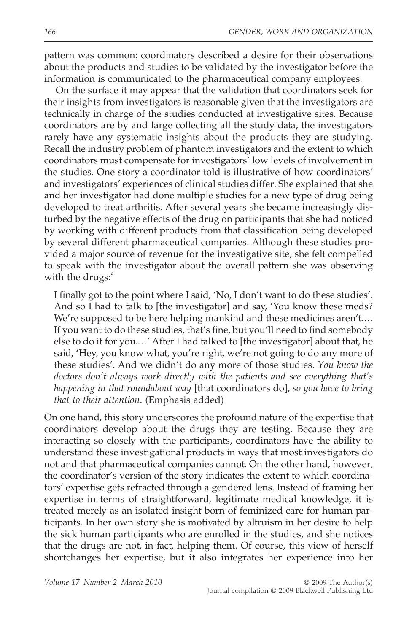pattern was common: coordinators described a desire for their observations about the products and studies to be validated by the investigator before the information is communicated to the pharmaceutical company employees.

On the surface it may appear that the validation that coordinators seek for their insights from investigators is reasonable given that the investigators are technically in charge of the studies conducted at investigative sites. Because coordinators are by and large collecting all the study data, the investigators rarely have any systematic insights about the products they are studying. Recall the industry problem of phantom investigators and the extent to which coordinators must compensate for investigators' low levels of involvement in the studies. One story a coordinator told is illustrative of how coordinators' and investigators' experiences of clinical studies differ. She explained that she and her investigator had done multiple studies for a new type of drug being developed to treat arthritis. After several years she became increasingly disturbed by the negative effects of the drug on participants that she had noticed by working with different products from that classification being developed by several different pharmaceutical companies. Although these studies provided a major source of revenue for the investigative site, she felt compelled to speak with the investigator about the overall pattern she was observing with the drugs:<sup>9</sup>

I finally got to the point where I said, 'No, I don't want to do these studies'. And so I had to talk to [the investigator] and say, 'You know these meds? We're supposed to be here helping mankind and these medicines aren't... If you want to do these studies, that's fine, but you'll need to find somebody else to do it for you....' After I had talked to [the investigator] about that, he said, 'Hey, you know what, you're right, we're not going to do any more of these studies'. And we didn't do any more of those studies. *You know the doctors don't always work directly with the patients and see everything that's happening in that roundabout way* [that coordinators do], *so you have to bring that to their attention*. (Emphasis added)

On one hand, this story underscores the profound nature of the expertise that coordinators develop about the drugs they are testing. Because they are interacting so closely with the participants, coordinators have the ability to understand these investigational products in ways that most investigators do not and that pharmaceutical companies cannot. On the other hand, however, the coordinator's version of the story indicates the extent to which coordinators' expertise gets refracted through a gendered lens. Instead of framing her expertise in terms of straightforward, legitimate medical knowledge, it is treated merely as an isolated insight born of feminized care for human participants. In her own story she is motivated by altruism in her desire to help the sick human participants who are enrolled in the studies, and she notices that the drugs are not, in fact, helping them. Of course, this view of herself shortchanges her expertise, but it also integrates her experience into her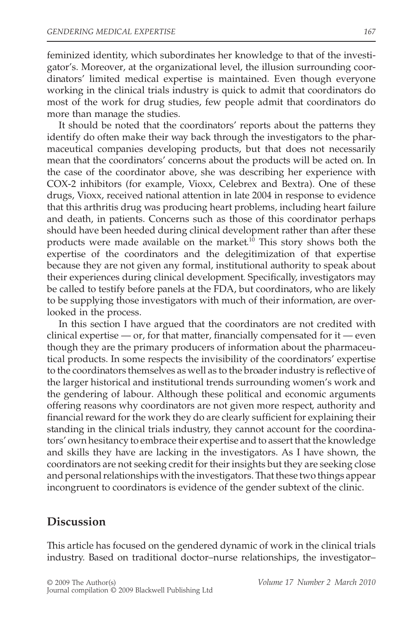feminized identity, which subordinates her knowledge to that of the investigator's. Moreover, at the organizational level, the illusion surrounding coordinators' limited medical expertise is maintained. Even though everyone working in the clinical trials industry is quick to admit that coordinators do most of the work for drug studies, few people admit that coordinators do more than manage the studies.

It should be noted that the coordinators' reports about the patterns they identify do often make their way back through the investigators to the pharmaceutical companies developing products, but that does not necessarily mean that the coordinators' concerns about the products will be acted on. In the case of the coordinator above, she was describing her experience with COX-2 inhibitors (for example, Vioxx, Celebrex and Bextra). One of these drugs, Vioxx, received national attention in late 2004 in response to evidence that this arthritis drug was producing heart problems, including heart failure and death, in patients. Concerns such as those of this coordinator perhaps should have been heeded during clinical development rather than after these products were made available on the market. $^{10}$  This story shows both the expertise of the coordinators and the delegitimization of that expertise because they are not given any formal, institutional authority to speak about their experiences during clinical development. Specifically, investigators may be called to testify before panels at the FDA, but coordinators, who are likely to be supplying those investigators with much of their information, are overlooked in the process.

In this section I have argued that the coordinators are not credited with clinical expertise  $-$  or, for that matter, financially compensated for it  $-$  even though they are the primary producers of information about the pharmaceutical products. In some respects the invisibility of the coordinators' expertise to the coordinators themselves as well as to the broader industry is reflective of the larger historical and institutional trends surrounding women's work and the gendering of labour. Although these political and economic arguments offering reasons why coordinators are not given more respect, authority and financial reward for the work they do are clearly sufficient for explaining their standing in the clinical trials industry, they cannot account for the coordinators' own hesitancy to embrace their expertise and to assert that the knowledge and skills they have are lacking in the investigators. As I have shown, the coordinators are not seeking credit for their insights but they are seeking close and personal relationships with the investigators. That these two things appear incongruent to coordinators is evidence of the gender subtext of the clinic.

# **Discussion**

This article has focused on the gendered dynamic of work in the clinical trials industry. Based on traditional doctor–nurse relationships, the investigator–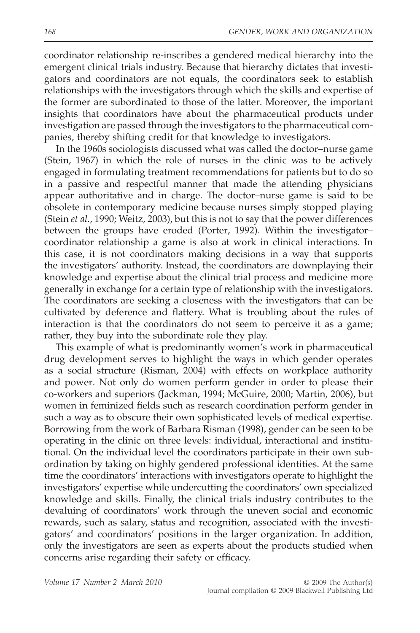coordinator relationship re-inscribes a gendered medical hierarchy into the emergent clinical trials industry. Because that hierarchy dictates that investigators and coordinators are not equals, the coordinators seek to establish relationships with the investigators through which the skills and expertise of the former are subordinated to those of the latter. Moreover, the important insights that coordinators have about the pharmaceutical products under investigation are passed through the investigators to the pharmaceutical companies, thereby shifting credit for that knowledge to investigators.

In the 1960s sociologists discussed what was called the doctor–nurse game (Stein, 1967) in which the role of nurses in the clinic was to be actively engaged in formulating treatment recommendations for patients but to do so in a passive and respectful manner that made the attending physicians appear authoritative and in charge. The doctor–nurse game is said to be obsolete in contemporary medicine because nurses simply stopped playing (Stein *et al.*, 1990; Weitz, 2003), but this is not to say that the power differences between the groups have eroded (Porter, 1992). Within the investigator– coordinator relationship a game is also at work in clinical interactions. In this case, it is not coordinators making decisions in a way that supports the investigators' authority. Instead, the coordinators are downplaying their knowledge and expertise about the clinical trial process and medicine more generally in exchange for a certain type of relationship with the investigators. The coordinators are seeking a closeness with the investigators that can be cultivated by deference and flattery. What is troubling about the rules of interaction is that the coordinators do not seem to perceive it as a game; rather, they buy into the subordinate role they play.

This example of what is predominantly women's work in pharmaceutical drug development serves to highlight the ways in which gender operates as a social structure (Risman, 2004) with effects on workplace authority and power. Not only do women perform gender in order to please their co-workers and superiors (Jackman, 1994; McGuire, 2000; Martin, 2006), but women in feminized fields such as research coordination perform gender in such a way as to obscure their own sophisticated levels of medical expertise. Borrowing from the work of Barbara Risman (1998), gender can be seen to be operating in the clinic on three levels: individual, interactional and institutional. On the individual level the coordinators participate in their own subordination by taking on highly gendered professional identities. At the same time the coordinators' interactions with investigators operate to highlight the investigators' expertise while undercutting the coordinators' own specialized knowledge and skills. Finally, the clinical trials industry contributes to the devaluing of coordinators' work through the uneven social and economic rewards, such as salary, status and recognition, associated with the investigators' and coordinators' positions in the larger organization. In addition, only the investigators are seen as experts about the products studied when concerns arise regarding their safety or efficacy.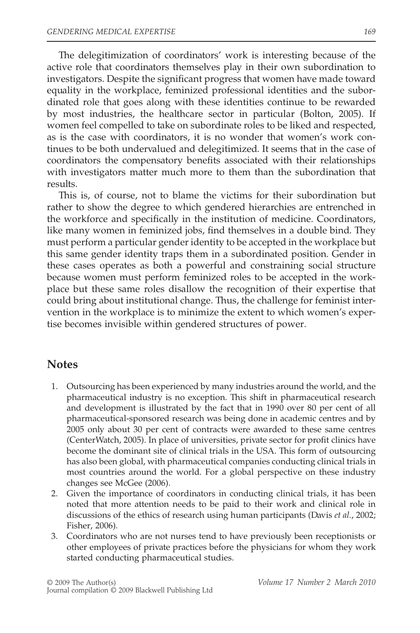The delegitimization of coordinators' work is interesting because of the active role that coordinators themselves play in their own subordination to investigators. Despite the significant progress that women have made toward equality in the workplace, feminized professional identities and the subordinated role that goes along with these identities continue to be rewarded by most industries, the healthcare sector in particular (Bolton, 2005). If women feel compelled to take on subordinate roles to be liked and respected, as is the case with coordinators, it is no wonder that women's work continues to be both undervalued and delegitimized. It seems that in the case of coordinators the compensatory benefits associated with their relationships with investigators matter much more to them than the subordination that results.

This is, of course, not to blame the victims for their subordination but rather to show the degree to which gendered hierarchies are entrenched in the workforce and specifically in the institution of medicine. Coordinators, like many women in feminized jobs, find themselves in a double bind. They must perform a particular gender identity to be accepted in the workplace but this same gender identity traps them in a subordinated position. Gender in these cases operates as both a powerful and constraining social structure because women must perform feminized roles to be accepted in the workplace but these same roles disallow the recognition of their expertise that could bring about institutional change. Thus, the challenge for feminist intervention in the workplace is to minimize the extent to which women's expertise becomes invisible within gendered structures of power.

#### **Notes**

- 1. Outsourcing has been experienced by many industries around the world, and the pharmaceutical industry is no exception. This shift in pharmaceutical research and development is illustrated by the fact that in 1990 over 80 per cent of all pharmaceutical-sponsored research was being done in academic centres and by 2005 only about 30 per cent of contracts were awarded to these same centres (CenterWatch, 2005). In place of universities, private sector for profit clinics have become the dominant site of clinical trials in the USA. This form of outsourcing has also been global, with pharmaceutical companies conducting clinical trials in most countries around the world. For a global perspective on these industry changes see McGee (2006).
- 2. Given the importance of coordinators in conducting clinical trials, it has been noted that more attention needs to be paid to their work and clinical role in discussions of the ethics of research using human participants (Davis *et al.*, 2002; Fisher, 2006).
- 3. Coordinators who are not nurses tend to have previously been receptionists or other employees of private practices before the physicians for whom they work started conducting pharmaceutical studies.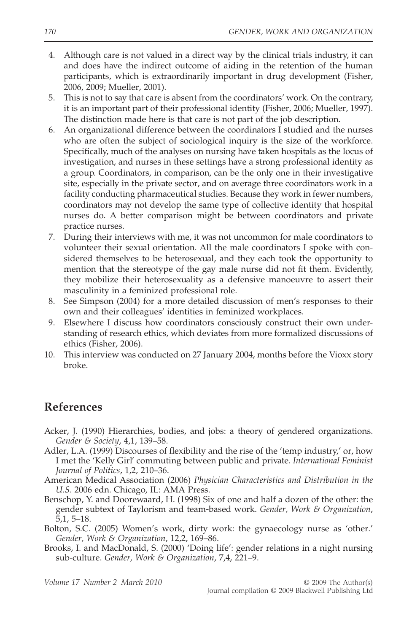- 4. Although care is not valued in a direct way by the clinical trials industry, it can and does have the indirect outcome of aiding in the retention of the human participants, which is extraordinarily important in drug development (Fisher, 2006, 2009; Mueller, 2001).
- 5. This is not to say that care is absent from the coordinators' work. On the contrary, it is an important part of their professional identity (Fisher, 2006; Mueller, 1997). The distinction made here is that care is not part of the job description.
- An organizational difference between the coordinators I studied and the nurses who are often the subject of sociological inquiry is the size of the workforce. Specifically, much of the analyses on nursing have taken hospitals as the locus of investigation, and nurses in these settings have a strong professional identity as a group. Coordinators, in comparison, can be the only one in their investigative site, especially in the private sector, and on average three coordinators work in a facility conducting pharmaceutical studies. Because they work in fewer numbers, coordinators may not develop the same type of collective identity that hospital nurses do. A better comparison might be between coordinators and private practice nurses.
- 7. During their interviews with me, it was not uncommon for male coordinators to volunteer their sexual orientation. All the male coordinators I spoke with considered themselves to be heterosexual, and they each took the opportunity to mention that the stereotype of the gay male nurse did not fit them. Evidently, they mobilize their heterosexuality as a defensive manoeuvre to assert their masculinity in a feminized professional role.
- 8. See Simpson (2004) for a more detailed discussion of men's responses to their own and their colleagues' identities in feminized workplaces.
- 9. Elsewhere I discuss how coordinators consciously construct their own understanding of research ethics, which deviates from more formalized discussions of ethics (Fisher, 2006).
- 10. This interview was conducted on 27 January 2004, months before the Vioxx story broke.

# **References**

- Acker, J. (1990) Hierarchies, bodies, and jobs: a theory of gendered organizations. *Gender & Society*, 4,1, 139–58.
- Adler, L.A. (1999) Discourses of flexibility and the rise of the 'temp industry,' or, how I met the 'Kelly Girl' commuting between public and private. *International Feminist Journal of Politics*, 1,2, 210–36.
- American Medical Association (2006) *Physician Characteristics and Distribution in the U.S*. 2006 edn. Chicago, IL: AMA Press.
- Benschop, Y. and Doorewaard, H. (1998) Six of one and half a dozen of the other: the gender subtext of Taylorism and team-based work. *Gender, Work & Organization*, 5,1, 5–18.
- Bolton, S.C. (2005) Women's work, dirty work: the gynaecology nurse as 'other.' *Gender, Work & Organization*, 12,2, 169–86.
- Brooks, I. and MacDonald, S. (2000) 'Doing life': gender relations in a night nursing sub-culture. *Gender, Work & Organization*, 7,4, 221–9.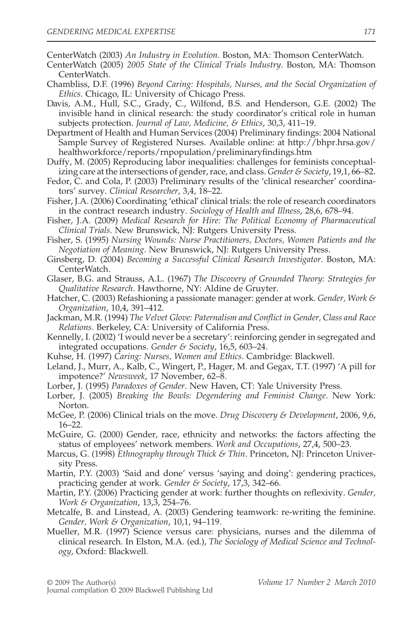CenterWatch (2003) *An Industry in Evolution*. Boston, MA: Thomson CenterWatch.

- CenterWatch (2005) *2005 State of the Clinical Trials Industry*. Boston, MA: Thomson CenterWatch.
- Chambliss, D.F. (1996) *Beyond Caring: Hospitals, Nurses, and the Social Organization of Ethics*. Chicago, IL: University of Chicago Press.
- Davis, A.M., Hull, S.C., Grady, C., Wilfond, B.S. and Henderson, G.E. (2002) The invisible hand in clinical research: the study coordinator's critical role in human subjects protection. *Journal of Law, Medicine, & Ethics*, 30,3, 411–19.
- Department of Health and Human Services (2004) Preliminary findings: 2004 National Sample Survey of Registered Nurses. Available online: at http://bhpr.hrsa.gov/ healthworkforce/reports/rnpopulation/preliminaryfindings.htm
- Duffy, M. (2005) Reproducing labor inequalities: challenges for feminists conceptualizing care at the intersections of gender, race, and class. *Gender & Society*, 19,1, 66–82.
- Fedor, C. and Cola, P. (2003) Preliminary results of the 'clinical researcher' coordinators' survey. *Clinical Researcher*, 3,4, 18–22.
- Fisher, J.A. (2006) Coordinating 'ethical' clinical trials: the role of research coordinators in the contract research industry. *Sociology of Health and Illness*, 28,6, 678–94.
- Fisher, J.A. (2009) *Medical Research for Hire: The Political Economy of Pharmaceutical Clinical Trials*. New Brunswick, NJ: Rutgers University Press.
- Fisher, S. (1995) *Nursing Wounds: Nurse Practitioners, Doctors, Women Patients and the Negotiation of Meaning*. New Brunswick, NJ: Rutgers University Press.
- Ginsberg, D. (2004) *Becoming a Successful Clinical Research Investigator*. Boston, MA: CenterWatch.
- Glaser, B.G. and Strauss, A.L. (1967) *The Discovery of Grounded Theory: Strategies for Qualitative Research*. Hawthorne, NY: Aldine de Gruyter.
- Hatcher, C. (2003) Refashioning a passionate manager: gender at work. *Gender, Work & Organization*, 10,4, 391–412.
- Jackman, M.R. (1994) *The Velvet Glove: Paternalism and Conflict in Gender, Class and Race Relations*. Berkeley, CA: University of California Press.
- Kennelly, I. (2002) 'I would never be a secretary': reinforcing gender in segregated and integrated occupations. *Gender & Society*, 16,5, 603–24.
- Kuhse, H. (1997) *Caring: Nurses, Women and Ethics*. Cambridge: Blackwell.
- Leland, J., Murr, A., Kalb, C., Wingert, P., Hager, M. and Gegax, T.T. (1997) 'A pill for impotence?' *Newsweek*, 17 November, 62–8.
- Lorber, J. (1995) *Paradoxes of Gender*. New Haven, CT: Yale University Press.
- Lorber, J. (2005) *Breaking the Bowls: Degendering and Feminist Change*. New York: Norton.
- McGee, P. (2006) Clinical trials on the move. *Drug Discovery & Development*, 2006, 9,6, 16–22.
- McGuire, G. (2000) Gender, race, ethnicity and networks: the factors affecting the status of employees' network members. *Work and Occupations*, 27,4, 500–23.
- Marcus, G. (1998) *Ethnography through Thick & Thin*. Princeton, NJ: Princeton University Press.
- Martin, P.Y. (2003) 'Said and done' versus 'saying and doing': gendering practices, practicing gender at work. *Gender & Society*, 17,3, 342–66.
- Martin, P.Y. (2006) Practicing gender at work: further thoughts on reflexivity. *Gender, Work & Organization*, 13,3, 254–76.
- Metcalfe, B. and Linstead, A. (2003) Gendering teamwork: re-writing the feminine. *Gender, Work & Organization*, 10,1, 94–119.
- Mueller, M.R. (1997) Science versus care: physicians, nurses and the dilemma of clinical research. In Elston, M.A. (ed.), *The Sociology of Medical Science and Technology*, Oxford: Blackwell.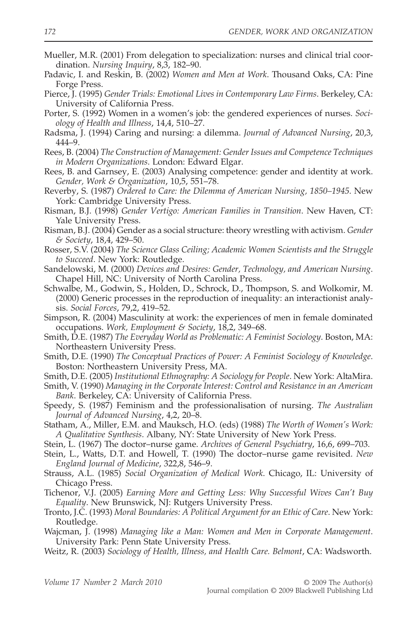- Mueller, M.R. (2001) From delegation to specialization: nurses and clinical trial coordination. *Nursing Inquiry*, 8,3, 182–90.
- Padavic, I. and Reskin, B. (2002) *Women and Men at Work*. Thousand Oaks, CA: Pine Forge Press.
- Pierce, J. (1995) *Gender Trials: Emotional Lives in Contemporary Law Firms*. Berkeley, CA: University of California Press.
- Porter, S. (1992) Women in a women's job: the gendered experiences of nurses. *Sociology of Health and Illness*, 14,4, 510–27.
- Radsma, J. (1994) Caring and nursing: a dilemma. *Journal of Advanced Nursing*, 20,3, 444–9.
- Rees, B. (2004) *The Construction of Management: Gender Issues and Competence Techniques in Modern Organizations*. London: Edward Elgar.
- Rees, B. and Garnsey, E. (2003) Analysing competence: gender and identity at work. *Gender, Work & Organization*, 10,5, 551–78.
- Reverby, S. (1987) *Ordered to Care: the Dilemma of American Nursing, 1850–1945*. New York: Cambridge University Press.
- Risman, B.J. (1998) *Gender Vertigo: American Families in Transition*. New Haven, CT: Yale University Press.
- Risman, B.J. (2004) Gender as a social structure: theory wrestling with activism. *Gender & Society*, 18,4, 429–50.
- Rosser, S.V. (2004) *The Science Glass Ceiling; Academic Women Scientists and the Struggle to Succeed*. New York: Routledge.
- Sandelowski, M. (2000) *Devices and Desires: Gender, Technology, and American Nursing*. Chapel Hill, NC: University of North Carolina Press.
- Schwalbe, M., Godwin, S., Holden, D., Schrock, D., Thompson, S. and Wolkomir, M. (2000) Generic processes in the reproduction of inequality: an interactionist analysis. *Social Forces*, 79,2, 419–52.
- Simpson, R. (2004) Masculinity at work: the experiences of men in female dominated occupations. *Work, Employment & Society*, 18,2, 349–68.
- Smith, D.E. (1987) *The Everyday World as Problematic: A Feminist Sociology*. Boston, MA: Northeastern University Press.
- Smith, D.E. (1990) *The Conceptual Practices of Power: A Feminist Sociology of Knowledge*. Boston: Northeastern University Press, MA.
- Smith, D.E. (2005) *Institutional Ethnography: A Sociology for People*. New York: AltaMira.
- Smith, V. (1990) *Managing in the Corporate Interest: Control and Resistance in an American Bank*. Berkeley, CA: University of California Press.
- Speedy, S. (1987) Feminism and the professionalisation of nursing. *The Australian Journal of Advanced Nursing*, 4,2, 20–8.
- Statham, A., Miller, E.M. and Mauksch, H.O. (eds) (1988) *The Worth of Women's Work: A Qualitative Synthesis*. Albany, NY: State University of New York Press.
- Stein, L. (1967) The doctor–nurse game. *Archives of General Psychiatry*, 16,6, 699–703.
- Stein, L., Watts, D.T. and Howell, T. (1990) The doctor–nurse game revisited. *New England Journal of Medicine*, 322,8, 546–9.
- Strauss, A.L. (1985) *Social Organization of Medical Work*. Chicago, IL: University of Chicago Press.
- Tichenor, V.J. (2005) *Earning More and Getting Less: Why Successful Wives Can't Buy Equality*. New Brunswick, NJ: Rutgers University Press.
- Tronto, J.C. (1993) *Moral Boundaries: A Political Argument for an Ethic of Care*. New York: Routledge.
- Wajcman, J. (1998) *Managing like a Man: Women and Men in Corporate Management*. University Park: Penn State University Press.
- Weitz, R. (2003) *Sociology of Health, Illness, and Health Care. Belmont*, CA: Wadsworth.